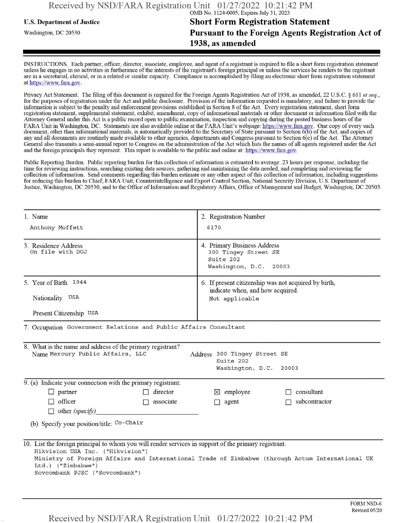## **u.s.** Department ofJustice **Short Form Registration Statement** Washington, dc <sup>20530</sup>**Pursuant to the Foreign Agents Registration Act of 1938, as amended**

INSTRUCTIONS. Each partner, officer, director, associate, employee, and agent of a registrant is required to file a short form registration statement unless he engages in no activities in furtherance ofthe interests ofthe registrant's foreign principal or unless the services he renders to the registrant are in a secretarial, clerical, or in a related or similar capacity. Compliance is accomplished by filing an electronic short form registration statement at https://www.fara.gov.

Privacy Act Statement. The filing of this document is required for the Foreign Agents Registration Act of 1938, as amended, 22 U.S.C. § 611 et seq., for the purposes ofregistration under the Act and public disclosure. Provision ofthe information requested is mandatory, and failure to provide the information is subject to the penalty and enforcement provisions established in Section 8 ofthe Act. Every registration statement, short form registration statement, supplemental statement, exhibit, amendment, copy ofinformational materials or other document or information filed with the Attorney General under this Act is a public record open to public examination, inspection and copying during the posted business hours ofthe FARA Unit in Washington, DC. Statements are also available online at the FARA Unit's webpage: https://www.fara.gov. One copy of every such document, other than informational materials, is automatically provided to the Secretary of State pursuant to Section 6(b) of the Act, and copies of any and all documents are routinely made available to other agencies, departments and Congress pursuant to Section 6(c) ofthe Act. The Attorney General also transmits a semi-annual report to Congress on the administration ofthe Act which lists the names of all agents registered under the Act and the foreign principals they represent. This report is available to the public and online at: https://www.fara.gov.

Public Reporting Burden. Public reporting burden for this collection ofinformation is estimated to average .23 hours per response, including the time for reviewing instructions, searching existing data sources, gathering and maintaining the data needed, and completing and reviewing the collection of information. Send comments regarding this burden estimate or any other aspect of this collection of information, including suggestions for reducing this burden to Chief, FARA Unit, Counterintelligence and Export Control Section, National Security Division, U.S. Department of Justice, Washington, DC 20530; and to the Office of Information and Regulatory Affairs, Office of Management and Budget, Washington, DC 20503.

| 1. Name                                                                                                                                                                                           | 2. Registration Number                                                                          |  |  |  |
|---------------------------------------------------------------------------------------------------------------------------------------------------------------------------------------------------|-------------------------------------------------------------------------------------------------|--|--|--|
| Anthony Moffett                                                                                                                                                                                   | 6170                                                                                            |  |  |  |
| 3. Residence Address<br>On file with DOJ                                                                                                                                                          | 4. Primary Business Address<br>300 Tingey Street SE<br>Suite 202<br>Washington, D.C. 20003      |  |  |  |
| 5. Year of Birth 1944                                                                                                                                                                             | 6. If present citizenship was not acquired by birth,<br>indicate when, and how acquired.        |  |  |  |
| Nationality USA                                                                                                                                                                                   | Not applicable                                                                                  |  |  |  |
| Present Citizenship USA                                                                                                                                                                           |                                                                                                 |  |  |  |
| 7. Occupation Government Relations and Public Affairs Consultant                                                                                                                                  |                                                                                                 |  |  |  |
| 8. What is the name and address of the primary registrant?<br>Name Mercury Public Affairs, LLC<br>Address 300 Tingey Street SE<br>Suite 202<br>Washington, D.C. 20003                             |                                                                                                 |  |  |  |
| $\overline{9}$ . (a) Indicate your connection with the primary registrant:                                                                                                                        |                                                                                                 |  |  |  |
| $\Box$ partner<br>$\Box$ director                                                                                                                                                                 | consultant<br>$\boxtimes$ employee                                                              |  |  |  |
| $\Box$ officer<br>associate<br>$\Box$                                                                                                                                                             | subcontractor<br>$\Box$ agent<br>П                                                              |  |  |  |
| $\Box$ other (specify)                                                                                                                                                                            |                                                                                                 |  |  |  |
| (b) Specify your position/title: Co-Chair                                                                                                                                                         |                                                                                                 |  |  |  |
| 10. List the foreign principal to whom you will render services in support of the primary registrant.<br>Hikvision USA Inc. ("Hikvision")<br>Ltd.) ("Zimbabwe")<br>Sovcombank PJSC ("Sovcombank") | Ministry of Foreign Affairs and International Trade of Zimbabwe (through Actum International UK |  |  |  |